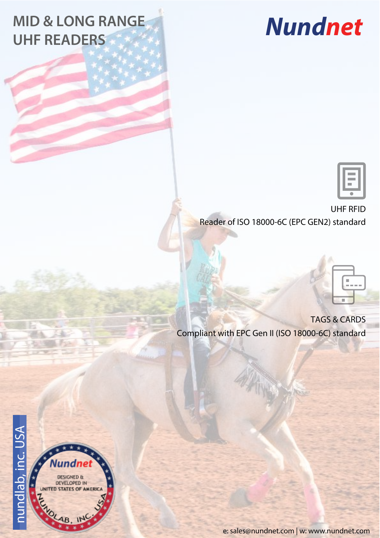## **MID & LONG RANGE UHF READERS**

## **Nundnet**



UHF RFID Reader of ISO 18000-6C (EPC GEN2) standard



TAGS & CARDS Compliant with EPC Gen II (ISO 18000-6C) standard



**DESIGNED &** DEVELOPED IN **ED STATES OF AMERICA** 

e: sales@nundnet.com | w: www.nundnet.com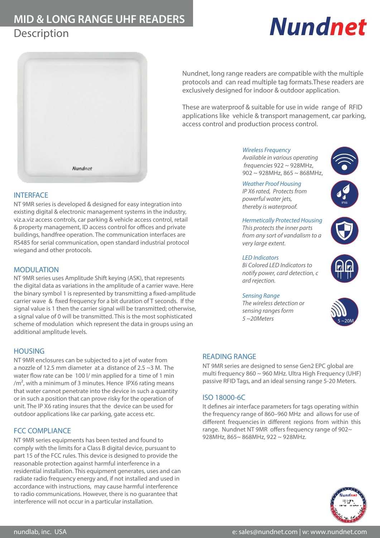## **MID & LONG RANGE UHF READERS Description**

# **Nundnet**



Nundnet, long range readers are compatible with the multiple protocols and can read multiple tag formats.These readers are exclusively designed for indoor & outdoor application.

These are waterproof & suitable for use in wide range of RFID applications like vehicle & transport management, car parking, access control and production process control.

#### Wireless Frequency

Available in various operating frequencies 922 ~ 928MHz, 902 ~ 928MHz, 865 ~ 868MHz,



 $IPX6$ 

#### Weather Proof Housing

IP X6 rated, Protects from powerful water jets, thereby is waterproof.

#### Hermetically Protected Housing

This protects the inner parts from any sort of vandalism to a very large extent.

#### LED Indicators

Bi Colored LED Indicators to notify power, card detection, c ard rejection.

#### Sensing Range

The wireless detection or sensing ranges form  $5 \sim$ 20Meters





#### READING RANGE

NT 9MR series are designed to sense Gen2 EPC global are multi frequency 860 ~ 960 MHz. Ultra High Frequency (UHF) passive RFID Tags, and an ideal sensing range 5-20 Meters.

### ISO 18000-6C

It defines air interface parameters for tags operating within the frequency range of 860–960 MHz and allows for use of different frequencies in different regions from within this range. Nundnet NT 9MR offers frequency range of 902~ 928MHz, 865~ 868MHz, 922 ~ 928MHz.



#### **INTERFACE**

NT 9MR series is developed & designed for easy integration into existing digital & electronic management systems in the industry, viz.a.viz access controls, car parking & vehicle access control, retail & property management, ID access control for offices and private buildings, handfree operation. The communication interfaces are RS485 for serial communication, open standard industrial protocol wiegand and other protocols.

#### MODULATION

NT 9MR series uses Amplitude Shift keying (ASK), that represents the digital data as variations in the amplitude of a carrier wave. Here the binary symbol 1 is represented by transmitting a fixed-amplitude carrier wave & fixed frequency for a bit duration of T seconds. If the signal value is 1 then the carrier signal will be transmitted; otherwise, a signal value of 0 will be transmitted. This is the most sophisticated scheme of modulation which represent the data in groups using an additional amplitude levels.

### **HOUSING**

NT 9MR enclosures can be subjected to a jet of water from a nozzle of 12.5 mm diameter at a distance of 2.5 ~3 M. The water flow rate can be 100 l/ min applied for a time of 1 min  $/m<sup>2</sup>$ , with a minimum of 3 minutes. Hence IPX6 rating means that water cannot penetrate into the device in such a quantity or in such a position that can prove risky for the operation of unit. The IP X6 rating insures that the device can be used for outdoor applications like car parking, gate access etc.

### FCC COMPLIANCE

NT 9MR series equipments has been tested and found to comply with the limits for a Class B digital device, pursuant to part 15 of the FCC rules. This device is designed to provide the reasonable protection against harmful interference in a residential installation. This equipment generates, uses and can radiate radio frequency energy and, if not installed and used in accordance with instructions, may cause harmful interference to radio communications. However, there is no guarantee that interference will not occur in a particular installation.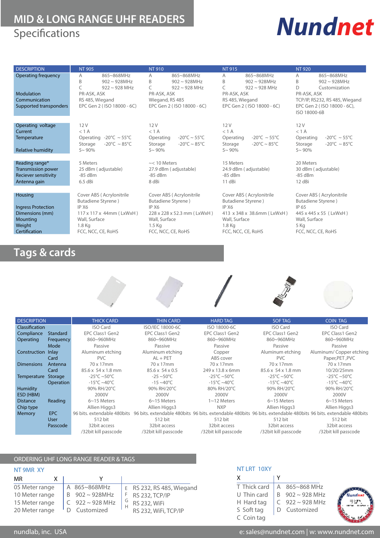## **MID & LONG RANGE UHF READERS**<br> **Specifications Specifications**

| <b>Operating frequency</b><br>865~868MHz<br>865~868MHz<br>865~868MHz<br>865~868MHz<br>A<br>A<br>A<br>A<br>B<br>B<br>B<br>B<br>$902 \sim 928$ MHz<br>$902 \sim 928$ MHz<br>$902 \sim 928$ MHz<br>$902 \sim 928$ MHz<br>C<br>D<br>$922 \sim 928 \text{ MHz}$<br>C<br>$922 \sim 928 \text{ MHz}$<br>C<br>$922 \sim 928$ MHz<br>Customization<br>Modulation<br>PR-ASK, ASK<br>PR-ASK, ASK<br>PR-ASK, ASK<br>PR-ASK, ASK<br>Communication<br>Wiegand, RS 485<br>RS 485, Wiegand<br>RS 485, Wiegand<br>TCP/IP, RS232, RS 485, Wiegand<br>EPC Gen 2 (ISO 18000 - 6C),<br>Supported transponders<br>EPC Gen 2 (ISO 18000 - 6C)<br>EPC Gen 2 (ISO 18000 - 6C)<br>EPC Gen 2 (ISO 18000 - 6C)<br>ISO 18000-6B<br>12V<br>Operating voltage<br>12V<br>12V<br>12V<br>< 1 A<br>< 1 A<br>< 1 A<br>Current<br>$< 1$ A<br>$-20^{\circ}$ C ~ 55 $^{\circ}$ C<br>$-20^{\circ}$ C ~ 55°C<br>Operating -20 $\degree$ C ~ 55 $\degree$ C<br>$-20^{\circ}$ C ~ 55 $^{\circ}$ C<br>Temperature<br>Operating<br>Operating<br>Operating<br>$-20^{\circ}$ C ~ 85 $^{\circ}$ C<br>-20°C ~ 85°C<br>$-20^{\circ}$ C ~ 85 $^{\circ}$ C<br>$-20^{\circ}$ C ~ 85 $^{\circ}$ C<br>Storage<br>Storage<br>Storage<br>Storage<br><b>Relative humidity</b><br>$5 - 90\%$<br>$5 - 90\%$<br>$5 - 90\%$<br>$5 - 90\%$<br>Reading range*<br>$\sim$ < 10 Meters<br>15 Meters<br>20 Meters<br>5 Meters<br><b>Transmission power</b><br>25 dBm (adjustable)<br>27.9 dBm (adjustable)<br>24.9 dBm (adjustable)<br>30 dBm (adjustable) |
|----------------------------------------------------------------------------------------------------------------------------------------------------------------------------------------------------------------------------------------------------------------------------------------------------------------------------------------------------------------------------------------------------------------------------------------------------------------------------------------------------------------------------------------------------------------------------------------------------------------------------------------------------------------------------------------------------------------------------------------------------------------------------------------------------------------------------------------------------------------------------------------------------------------------------------------------------------------------------------------------------------------------------------------------------------------------------------------------------------------------------------------------------------------------------------------------------------------------------------------------------------------------------------------------------------------------------------------------------------------------------------------------------------------------------------------------------------------------------------------|
|                                                                                                                                                                                                                                                                                                                                                                                                                                                                                                                                                                                                                                                                                                                                                                                                                                                                                                                                                                                                                                                                                                                                                                                                                                                                                                                                                                                                                                                                                        |
|                                                                                                                                                                                                                                                                                                                                                                                                                                                                                                                                                                                                                                                                                                                                                                                                                                                                                                                                                                                                                                                                                                                                                                                                                                                                                                                                                                                                                                                                                        |
|                                                                                                                                                                                                                                                                                                                                                                                                                                                                                                                                                                                                                                                                                                                                                                                                                                                                                                                                                                                                                                                                                                                                                                                                                                                                                                                                                                                                                                                                                        |
|                                                                                                                                                                                                                                                                                                                                                                                                                                                                                                                                                                                                                                                                                                                                                                                                                                                                                                                                                                                                                                                                                                                                                                                                                                                                                                                                                                                                                                                                                        |
|                                                                                                                                                                                                                                                                                                                                                                                                                                                                                                                                                                                                                                                                                                                                                                                                                                                                                                                                                                                                                                                                                                                                                                                                                                                                                                                                                                                                                                                                                        |
|                                                                                                                                                                                                                                                                                                                                                                                                                                                                                                                                                                                                                                                                                                                                                                                                                                                                                                                                                                                                                                                                                                                                                                                                                                                                                                                                                                                                                                                                                        |
|                                                                                                                                                                                                                                                                                                                                                                                                                                                                                                                                                                                                                                                                                                                                                                                                                                                                                                                                                                                                                                                                                                                                                                                                                                                                                                                                                                                                                                                                                        |
|                                                                                                                                                                                                                                                                                                                                                                                                                                                                                                                                                                                                                                                                                                                                                                                                                                                                                                                                                                                                                                                                                                                                                                                                                                                                                                                                                                                                                                                                                        |
|                                                                                                                                                                                                                                                                                                                                                                                                                                                                                                                                                                                                                                                                                                                                                                                                                                                                                                                                                                                                                                                                                                                                                                                                                                                                                                                                                                                                                                                                                        |
|                                                                                                                                                                                                                                                                                                                                                                                                                                                                                                                                                                                                                                                                                                                                                                                                                                                                                                                                                                                                                                                                                                                                                                                                                                                                                                                                                                                                                                                                                        |
|                                                                                                                                                                                                                                                                                                                                                                                                                                                                                                                                                                                                                                                                                                                                                                                                                                                                                                                                                                                                                                                                                                                                                                                                                                                                                                                                                                                                                                                                                        |
|                                                                                                                                                                                                                                                                                                                                                                                                                                                                                                                                                                                                                                                                                                                                                                                                                                                                                                                                                                                                                                                                                                                                                                                                                                                                                                                                                                                                                                                                                        |
|                                                                                                                                                                                                                                                                                                                                                                                                                                                                                                                                                                                                                                                                                                                                                                                                                                                                                                                                                                                                                                                                                                                                                                                                                                                                                                                                                                                                                                                                                        |
|                                                                                                                                                                                                                                                                                                                                                                                                                                                                                                                                                                                                                                                                                                                                                                                                                                                                                                                                                                                                                                                                                                                                                                                                                                                                                                                                                                                                                                                                                        |
|                                                                                                                                                                                                                                                                                                                                                                                                                                                                                                                                                                                                                                                                                                                                                                                                                                                                                                                                                                                                                                                                                                                                                                                                                                                                                                                                                                                                                                                                                        |
| Reciever sensitivity<br>$-85$ dBm<br>$-85$ dBm<br>$-85$ dBm<br>$-85$ dBm                                                                                                                                                                                                                                                                                                                                                                                                                                                                                                                                                                                                                                                                                                                                                                                                                                                                                                                                                                                                                                                                                                                                                                                                                                                                                                                                                                                                               |
| 6.5 dBi<br>8 dBi<br>11 dBi<br>12 dBi<br>Antenna gain                                                                                                                                                                                                                                                                                                                                                                                                                                                                                                                                                                                                                                                                                                                                                                                                                                                                                                                                                                                                                                                                                                                                                                                                                                                                                                                                                                                                                                   |
|                                                                                                                                                                                                                                                                                                                                                                                                                                                                                                                                                                                                                                                                                                                                                                                                                                                                                                                                                                                                                                                                                                                                                                                                                                                                                                                                                                                                                                                                                        |
| Cover ABS (Acrylonitrile<br>Cover ABS (Acrylonitrile<br>Cover ABS (Acrylonitrile<br>Housing<br>Cover ABS (Acrylonitrile                                                                                                                                                                                                                                                                                                                                                                                                                                                                                                                                                                                                                                                                                                                                                                                                                                                                                                                                                                                                                                                                                                                                                                                                                                                                                                                                                                |
| Butadiene Styrene)<br>Butadiene Styrene)<br>Butadiene Styrene)<br>Butadiene Styrene)                                                                                                                                                                                                                                                                                                                                                                                                                                                                                                                                                                                                                                                                                                                                                                                                                                                                                                                                                                                                                                                                                                                                                                                                                                                                                                                                                                                                   |
| IP X6<br>IP X6<br>IP 65<br><b>Ingress Protection</b><br>IP X6                                                                                                                                                                                                                                                                                                                                                                                                                                                                                                                                                                                                                                                                                                                                                                                                                                                                                                                                                                                                                                                                                                                                                                                                                                                                                                                                                                                                                          |
| Dimensions (mm)<br>228 x 228 x 52.3 mm (LxWxH)<br>413 x 348 x 38.6mm (LxWxH)<br>445 x 445 x 55 (LxWxH)<br>117 x 117 x 44mm (LxWxH)                                                                                                                                                                                                                                                                                                                                                                                                                                                                                                                                                                                                                                                                                                                                                                                                                                                                                                                                                                                                                                                                                                                                                                                                                                                                                                                                                     |
| Mounting<br>Wall, Surface<br>Wall, Surface<br>Wall, Surface<br>Wall, Surface                                                                                                                                                                                                                                                                                                                                                                                                                                                                                                                                                                                                                                                                                                                                                                                                                                                                                                                                                                                                                                                                                                                                                                                                                                                                                                                                                                                                           |
| Weight<br>1.8 Kg<br>$1.5$ Kg<br>1.8 Kg<br>5 Kg                                                                                                                                                                                                                                                                                                                                                                                                                                                                                                                                                                                                                                                                                                                                                                                                                                                                                                                                                                                                                                                                                                                                                                                                                                                                                                                                                                                                                                         |
| Certification<br>FCC, NCC, CE, RoHS<br>FCC, NCC, CE, RoHS<br>FCC, NCC, CE, RoHS<br>FCC, NCC, CE, RoHS                                                                                                                                                                                                                                                                                                                                                                                                                                                                                                                                                                                                                                                                                                                                                                                                                                                                                                                                                                                                                                                                                                                                                                                                                                                                                                                                                                                  |

## **Tags & cards**



| <b>DESCRIPTION</b>    |                 | <b>THICK CARD</b>                | <b>THIN CARD</b>        | <b>HARD TAG</b>                  | SOF TAG                          | <b>COIN TAG</b>                                                                                                                             |
|-----------------------|-----------------|----------------------------------|-------------------------|----------------------------------|----------------------------------|---------------------------------------------------------------------------------------------------------------------------------------------|
| <b>Classification</b> |                 | <b>ISO Card</b>                  | ISO/IEC 18000-6C        | ISO 18000-6C                     | <b>ISO Card</b>                  | <b>ISO Card</b>                                                                                                                             |
| Compliance            | <b>Standard</b> | EPC Class1 Gen2                  | EPC Class1 Gen2         | EPC Class1 Gen2                  | EPC Class1 Gen2                  | EPC Class1 Gen2                                                                                                                             |
| Operating             | Frequency       | 860~960MHz                       | 860~960MHz              | 860~960MHz                       | 860~960MHz                       | 860~960MHz                                                                                                                                  |
|                       | Mode            | Passive                          | Passive                 | Passive                          | Passive                          | Passive                                                                                                                                     |
| Construction Inlay    |                 | Aluminum etching                 | Aluminum etching        | Copper                           | Aluminum etching                 | Aluminum/Copper etching                                                                                                                     |
|                       | Card            | <b>PVC</b>                       | $AL + PET$              | ABS cover                        | <b>PVC</b>                       | Paper, PET, PVC                                                                                                                             |
| <b>Dimensions</b>     | Antenna         | 70 x 17 <sub>mm</sub>            | 70 x 17 <sub>mm</sub>   | 70 x 17 <sub>mm</sub>            | 70 x 17 mm                       | 70 x 17 <sub>mm</sub>                                                                                                                       |
|                       | Card            | 85.6 x 54 x 1.8 mm               | 85.6 x 54 x 0.5         | 249 x 13.8 x 6mm                 | 85.6 x 54 x 1.8 mm               | 10/20/25mm                                                                                                                                  |
| Temperature           | Storage         | $-25^{\circ}$ C ~50 $^{\circ}$ C | $-25 \sim 50^{\circ}$ C | $-25^{\circ}$ C ~50 $^{\circ}$ C | -25°C ~50°C                      | -25°C ~50°C                                                                                                                                 |
|                       | Operation       | $-15^{\circ}$ C ~40 $^{\circ}$ C | $-15 - 40^{\circ}$ C    | $-15^{\circ}$ C ~40 $^{\circ}$ C | $-15^{\circ}$ C ~40 $^{\circ}$ C | $-15^{\circ}$ C ~40 $^{\circ}$ C                                                                                                            |
| Humidity              |                 | 90% RH/20°C                      | 90% RH/20°C             | 80% RH/20°C                      | 90% RH/20°C                      | 90% RH/20°C                                                                                                                                 |
| ESD (HBM)             |                 | 2000V                            | 2000V                   | 2000V                            | 2000V                            | 2000V                                                                                                                                       |
| <b>Distance</b>       | Reading         | $6~15$ Meters                    | $6~15$ Meters           | $1~12$ Meters                    | $6~15$ Meters                    | $6~15$ Meters                                                                                                                               |
| Chip type             |                 | Allien Higgs3                    | Allien Higgs3           | <b>NXP</b>                       | Allien Higgs3                    | Allien Higgs3                                                                                                                               |
| Memory                | EPC             |                                  |                         |                                  |                                  | 96 bits, extendable 480bits 96 bits, extendable 480bits 96 bits, extendable 480bits 96 bits, extendable 480bits 96 bits, extendable 480bits |
|                       | <b>User</b>     | 512 bit                          | 512 bit                 | 512 bit                          | 512 bit                          | 512 bit                                                                                                                                     |
|                       | Passcode        | 32 bit access                    | 32 bit access           | 32bit access                     | 32 bit access                    | 32 bit access                                                                                                                               |
|                       |                 | /32bit kill passcode             | /32bit kill passcode    | /32bit kill passcode             | /32bit kill passcode             | /32bit kill passcode                                                                                                                        |

#### ORDERING UHF LONG RANGE READER & TAGS

| NT 9MR XY      |                    |                           |  |  |  |  |  |  |  |  |
|----------------|--------------------|---------------------------|--|--|--|--|--|--|--|--|
| MR             |                    |                           |  |  |  |  |  |  |  |  |
| 05 Meter range | A 865~868MHz       | E RS 232, RS 485, Wiegand |  |  |  |  |  |  |  |  |
| 10 Meter range | $902 \sim 928$ MHz | <b>RS 232, TCP/IP</b>     |  |  |  |  |  |  |  |  |
| 15 Meter range | $922 \sim 928$ MHz | RS 232, WiFi              |  |  |  |  |  |  |  |  |
| 20 Meter range | Customized         | RS 232, WiFi, TCP/IP      |  |  |  |  |  |  |  |  |

#### NT LRT 10XY

| X            |                      |  |
|--------------|----------------------|--|
| T Thick card | A 865~868 MHz        |  |
| U Thin card  | B $902 \sim 928$ MHz |  |
| H Hard tag   | $C$ 922 ~ 928 MHz    |  |
| S Soft tag   | Customized           |  |
| C Coin tag   |                      |  |